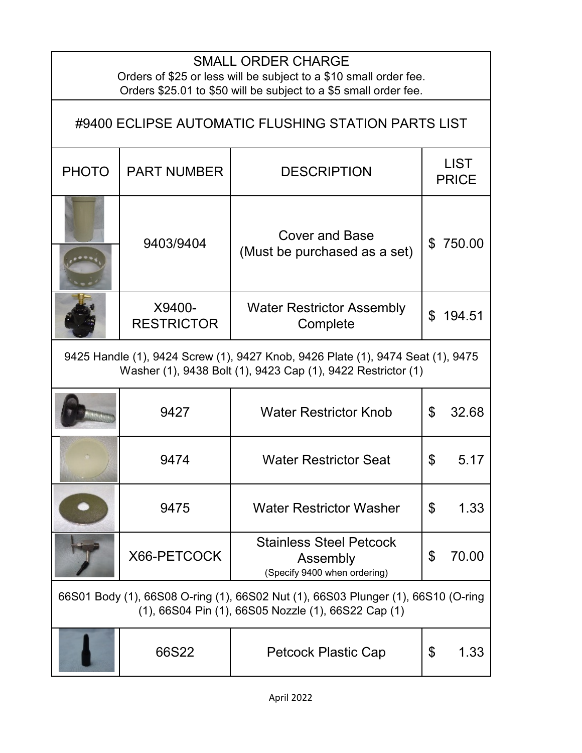| <b>SMALL ORDER CHARGE</b><br>Orders of \$25 or less will be subject to a \$10 small order fee.<br>Orders \$25.01 to \$50 will be subject to a \$5 small order fee. |                             |                                                                            |                |                             |
|--------------------------------------------------------------------------------------------------------------------------------------------------------------------|-----------------------------|----------------------------------------------------------------------------|----------------|-----------------------------|
|                                                                                                                                                                    |                             | #9400 ECLIPSE AUTOMATIC FLUSHING STATION PARTS LIST                        |                |                             |
| <b>PHOTO</b>                                                                                                                                                       | <b>PART NUMBER</b>          | <b>DESCRIPTION</b>                                                         |                | <b>LIST</b><br><b>PRICE</b> |
|                                                                                                                                                                    | 9403/9404                   | <b>Cover and Base</b><br>(Must be purchased as a set)                      | $\mathbb{S}$   | 750.00                      |
|                                                                                                                                                                    | X9400-<br><b>RESTRICTOR</b> | <b>Water Restrictor Assembly</b><br>Complete                               | \$             | 194.51                      |
| 9425 Handle (1), 9424 Screw (1), 9427 Knob, 9426 Plate (1), 9474 Seat (1), 9475<br>Washer (1), 9438 Bolt (1), 9423 Cap (1), 9422 Restrictor (1)                    |                             |                                                                            |                |                             |
|                                                                                                                                                                    | 9427                        | <b>Water Restrictor Knob</b>                                               | \$             | 32.68                       |
|                                                                                                                                                                    | 9474                        | <b>Water Restrictor Seat</b>                                               | \$             | 5.17                        |
|                                                                                                                                                                    | 9475                        | <b>Water Restrictor Washer</b>                                             | $\mathfrak{S}$ | 1.33                        |
|                                                                                                                                                                    | X66-PETCOCK                 | <b>Stainless Steel Petcock</b><br>Assembly<br>(Specify 9400 when ordering) | \$             | 70.00                       |
| 66S01 Body (1), 66S08 O-ring (1), 66S02 Nut (1), 66S03 Plunger (1), 66S10 (O-ring<br>(1), 66S04 Pin (1), 66S05 Nozzle (1), 66S22 Cap (1)                           |                             |                                                                            |                |                             |
|                                                                                                                                                                    | 66S22                       | Petcock Plastic Cap                                                        | $\mathfrak{L}$ | 1.33                        |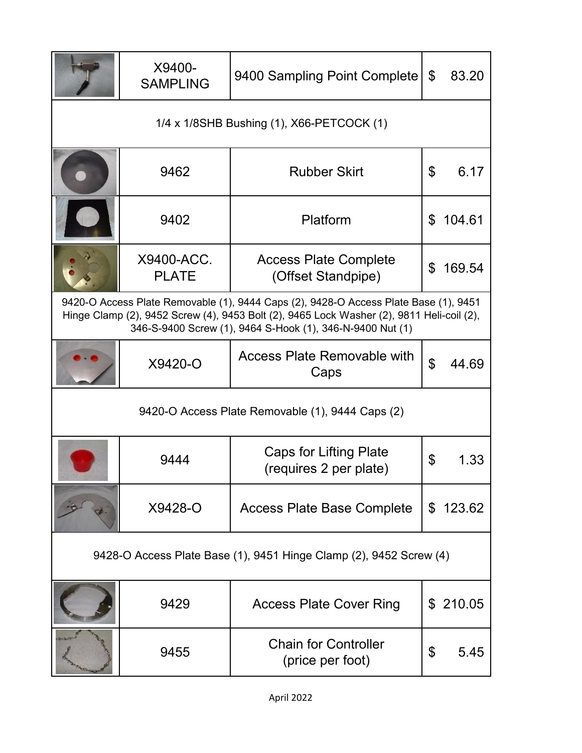|                                                                                                                                                                                                                                                | X9400-<br><b>SAMPLING</b>  | 9400 Sampling Point Complete                       | $\mathfrak{L}$ | 83.20    |
|------------------------------------------------------------------------------------------------------------------------------------------------------------------------------------------------------------------------------------------------|----------------------------|----------------------------------------------------|----------------|----------|
|                                                                                                                                                                                                                                                |                            | 1/4 x 1/8SHB Bushing (1), X66-PETCOCK (1)          |                |          |
|                                                                                                                                                                                                                                                | 9462                       | <b>Rubber Skirt</b>                                | \$             | 6.17     |
|                                                                                                                                                                                                                                                | 9402                       | Platform                                           | \$             | 104.61   |
|                                                                                                                                                                                                                                                | X9400-ACC.<br><b>PLATE</b> | <b>Access Plate Complete</b><br>(Offset Standpipe) | \$             | 169.54   |
| 9420-O Access Plate Removable (1), 9444 Caps (2), 9428-O Access Plate Base (1), 9451<br>Hinge Clamp (2), 9452 Screw (4), 9453 Bolt (2), 9465 Lock Washer (2), 9811 Heli-coil (2),<br>346-S-9400 Screw (1), 9464 S-Hook (1), 346-N-9400 Nut (1) |                            |                                                    |                |          |
|                                                                                                                                                                                                                                                | X9420-O                    | <b>Access Plate Removable with</b><br>Caps         | \$             | 44.69    |
| 9420-O Access Plate Removable (1), 9444 Caps (2)                                                                                                                                                                                               |                            |                                                    |                |          |
|                                                                                                                                                                                                                                                | 9444                       | Caps for Lifting Plate<br>(requires 2 per plate)   | \$             | 1.33     |
|                                                                                                                                                                                                                                                | X9428-O                    | <b>Access Plate Base Complete</b>                  |                | \$123.62 |
| 9428-O Access Plate Base (1), 9451 Hinge Clamp (2), 9452 Screw (4)                                                                                                                                                                             |                            |                                                    |                |          |
|                                                                                                                                                                                                                                                | 9429                       | <b>Access Plate Cover Ring</b>                     |                | \$210.05 |
|                                                                                                                                                                                                                                                | 9455                       | <b>Chain for Controller</b><br>(price per foot)    | \$             | 5.45     |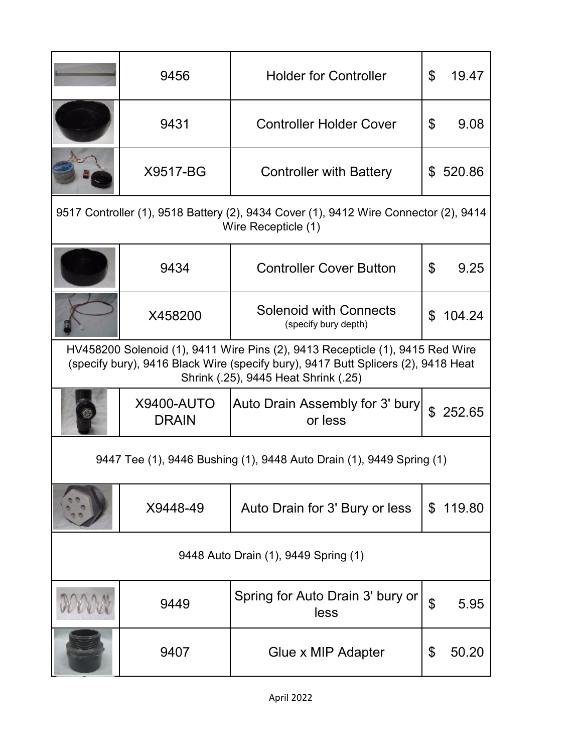|                                                                                                                                                                                                            | 9456                              | <b>Holder for Controller</b>                                                                                | \$             | 19.47    |  |
|------------------------------------------------------------------------------------------------------------------------------------------------------------------------------------------------------------|-----------------------------------|-------------------------------------------------------------------------------------------------------------|----------------|----------|--|
|                                                                                                                                                                                                            | 9431                              | <b>Controller Holder Cover</b>                                                                              | \$             | 9.08     |  |
|                                                                                                                                                                                                            | X9517-BG                          | <b>Controller with Battery</b>                                                                              |                | \$520.86 |  |
|                                                                                                                                                                                                            |                                   | 9517 Controller (1), 9518 Battery (2), 9434 Cover (1), 9412 Wire Connector (2), 9414<br>Wire Recepticle (1) |                |          |  |
|                                                                                                                                                                                                            | 9434                              | <b>Controller Cover Button</b>                                                                              | \$             | 9.25     |  |
|                                                                                                                                                                                                            | X458200                           | <b>Solenoid with Connects</b><br>(specify bury depth)                                                       | \$             | 104.24   |  |
| HV458200 Solenoid (1), 9411 Wire Pins (2), 9413 Recepticle (1), 9415 Red Wire<br>(specify bury), 9416 Black Wire (specify bury), 9417 Butt Splicers (2), 9418 Heat<br>Shrink (.25), 9445 Heat Shrink (.25) |                                   |                                                                                                             |                |          |  |
|                                                                                                                                                                                                            | <b>X9400-AUTO</b><br><b>DRAIN</b> | Auto Drain Assembly for 3' bury<br>or less                                                                  | $\mathfrak{L}$ | 252.65   |  |
| 9447 Tee (1), 9446 Bushing (1), 9448 Auto Drain (1), 9449 Spring (1)                                                                                                                                       |                                   |                                                                                                             |                |          |  |
|                                                                                                                                                                                                            | X9448-49                          | Auto Drain for 3' Bury or less                                                                              |                | \$119.80 |  |
| 9448 Auto Drain (1), 9449 Spring (1)                                                                                                                                                                       |                                   |                                                                                                             |                |          |  |
|                                                                                                                                                                                                            | 9449                              | Spring for Auto Drain 3' bury or<br>less                                                                    | $\mathfrak{P}$ | 5.95     |  |
|                                                                                                                                                                                                            | 9407                              | Glue x MIP Adapter                                                                                          | \$             | 50.20    |  |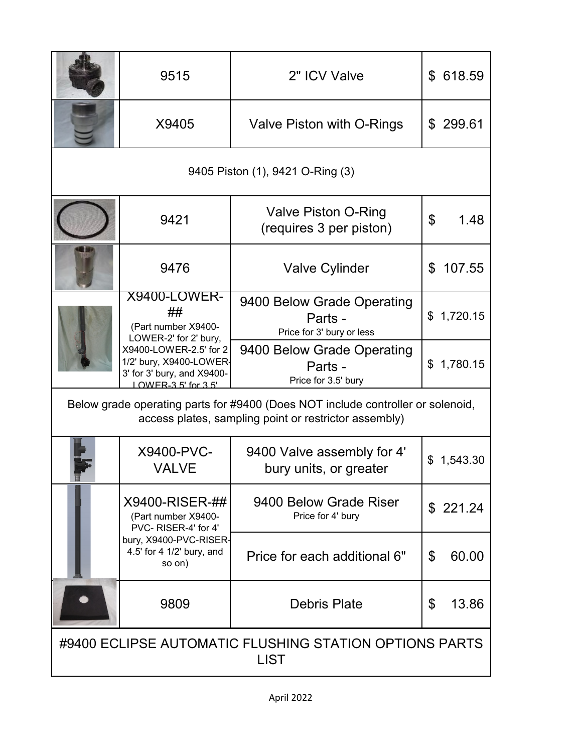|                                                                       | 9515                                                                                                                                     | 2" ICV Valve                                                       | \$618.59                 |  |  |
|-----------------------------------------------------------------------|------------------------------------------------------------------------------------------------------------------------------------------|--------------------------------------------------------------------|--------------------------|--|--|
|                                                                       | X9405                                                                                                                                    | Valve Piston with O-Rings                                          | 299.61<br>$\mathfrak{L}$ |  |  |
|                                                                       |                                                                                                                                          | 9405 Piston (1), 9421 O-Ring (3)                                   |                          |  |  |
|                                                                       | 9421                                                                                                                                     | <b>Valve Piston O-Ring</b><br>(requires 3 per piston)              | $\mathfrak{L}$<br>1.48   |  |  |
|                                                                       | 9476                                                                                                                                     | <b>Valve Cylinder</b>                                              | 107.55<br>\$             |  |  |
|                                                                       | <b>X9400-LOWER-</b><br>##<br>(Part number X9400-<br>LOWER-2' for 2' bury,                                                                | 9400 Below Grade Operating<br>Parts -<br>Price for 3' bury or less | \$1,720.15               |  |  |
|                                                                       | X9400-LOWER-2.5' for 2<br>1/2' bury, X9400-LOWER-<br>3' for 3' bury, and X9400-<br>$1$ OWFR-3 5' for 3.5'                                | 9400 Below Grade Operating<br>Parts -<br>Price for 3.5' bury       | 1,780.15<br>\$           |  |  |
|                                                                       | Below grade operating parts for #9400 (Does NOT include controller or solenoid,<br>access plates, sampling point or restrictor assembly) |                                                                    |                          |  |  |
| 囂                                                                     | X9400-PVC-<br><b>VALVE</b>                                                                                                               | 9400 Valve assembly for 4'<br>bury units, or greater               | \$<br>1,543.30           |  |  |
|                                                                       | X9400-RISER-##<br>(Part number X9400-<br>PVC-RISER-4' for 4'                                                                             | 9400 Below Grade Riser<br>Price for 4' bury                        | \$221.24                 |  |  |
|                                                                       | bury, X9400-PVC-RISER-<br>4.5' for 4 1/2' bury, and<br>so on)                                                                            | Price for each additional 6"                                       | 60.00<br>\$              |  |  |
|                                                                       | 9809                                                                                                                                     | <b>Debris Plate</b>                                                | \$<br>13.86              |  |  |
| #9400 ECLIPSE AUTOMATIC FLUSHING STATION OPTIONS PARTS<br><b>LIST</b> |                                                                                                                                          |                                                                    |                          |  |  |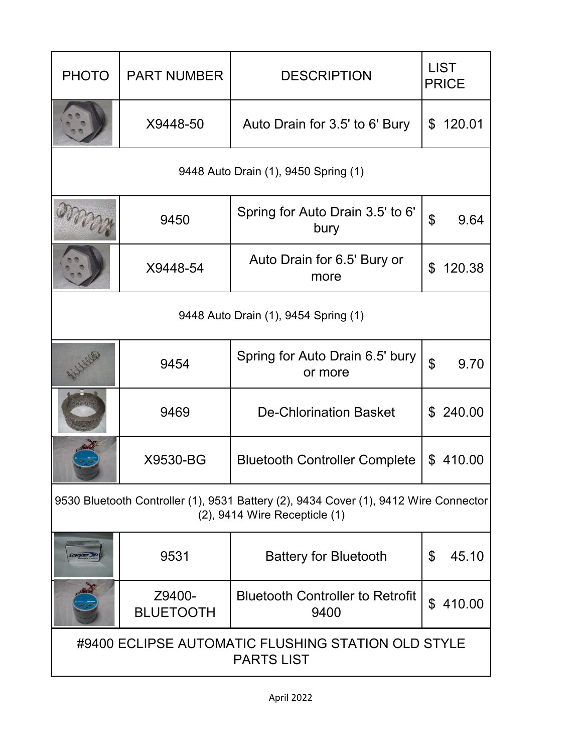| <b>PHOTO</b>                                                                                                               | <b>PART NUMBER</b>         | <b>DESCRIPTION</b>                              | <b>LIST</b><br><b>PRICE</b> |  |
|----------------------------------------------------------------------------------------------------------------------------|----------------------------|-------------------------------------------------|-----------------------------|--|
|                                                                                                                            | X9448-50                   | Auto Drain for 3.5' to 6' Bury                  | 120.01<br>\$                |  |
|                                                                                                                            |                            | 9448 Auto Drain (1), 9450 Spring (1)            |                             |  |
|                                                                                                                            | 9450                       | Spring for Auto Drain 3.5' to 6'<br>bury        | \$<br>9.64                  |  |
|                                                                                                                            | X9448-54                   | Auto Drain for 6.5' Bury or<br>more             | \$<br>120.38                |  |
| 9448 Auto Drain (1), 9454 Spring (1)                                                                                       |                            |                                                 |                             |  |
|                                                                                                                            | 9454                       | Spring for Auto Drain 6.5' bury<br>or more      | \$<br>9.70                  |  |
|                                                                                                                            | 9469                       | <b>De-Chlorination Basket</b>                   | \$240.00                    |  |
|                                                                                                                            | X9530-BG                   | <b>Bluetooth Controller Complete</b>            | 410.00<br>\$                |  |
| 9530 Bluetooth Controller (1), 9531 Battery (2), 9434 Cover (1), 9412 Wire Connector<br>$(2)$ , 9414 Wire Recepticle $(1)$ |                            |                                                 |                             |  |
|                                                                                                                            | 9531                       | <b>Battery for Bluetooth</b>                    | \$<br>45.10                 |  |
|                                                                                                                            | Z9400-<br><b>BLUETOOTH</b> | <b>Bluetooth Controller to Retrofit</b><br>9400 | 410.00<br>\$                |  |
| #9400 ECLIPSE AUTOMATIC FLUSHING STATION OLD STYLE<br><b>PARTS LIST</b>                                                    |                            |                                                 |                             |  |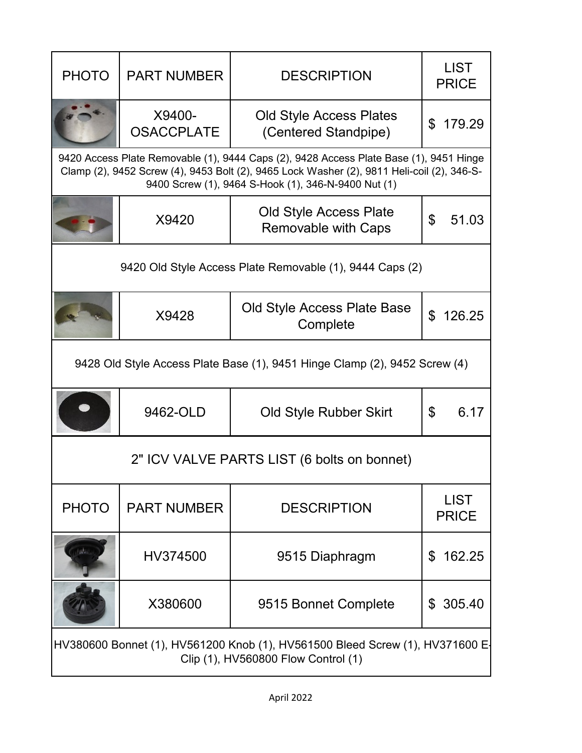| <b>PHOTO</b>                                                                                                         | <b>PART NUMBER</b>          | <b>DESCRIPTION</b>                                                                                                                                                                                                                          | <b>LIST</b><br><b>PRICE</b> |  |
|----------------------------------------------------------------------------------------------------------------------|-----------------------------|---------------------------------------------------------------------------------------------------------------------------------------------------------------------------------------------------------------------------------------------|-----------------------------|--|
|                                                                                                                      | X9400-<br><b>OSACCPLATE</b> | <b>Old Style Access Plates</b><br>(Centered Standpipe)                                                                                                                                                                                      | 179.29<br>\$                |  |
|                                                                                                                      |                             | 9420 Access Plate Removable (1), 9444 Caps (2), 9428 Access Plate Base (1), 9451 Hinge<br>Clamp (2), 9452 Screw (4), 9453 Bolt (2), 9465 Lock Washer (2), 9811 Heli-coil (2), 346-S-<br>9400 Screw (1), 9464 S-Hook (1), 346-N-9400 Nut (1) |                             |  |
|                                                                                                                      | X9420                       | <b>Old Style Access Plate</b><br>Removable with Caps                                                                                                                                                                                        | $\mathfrak{L}$<br>51.03     |  |
|                                                                                                                      |                             | 9420 Old Style Access Plate Removable (1), 9444 Caps (2)                                                                                                                                                                                    |                             |  |
|                                                                                                                      | X9428                       | Old Style Access Plate Base<br>Complete                                                                                                                                                                                                     | $\mathfrak{L}$<br>126.25    |  |
| 9428 Old Style Access Plate Base (1), 9451 Hinge Clamp (2), 9452 Screw (4)                                           |                             |                                                                                                                                                                                                                                             |                             |  |
|                                                                                                                      | 9462-OLD                    | Old Style Rubber Skirt                                                                                                                                                                                                                      | \$<br>6.17                  |  |
| 2" ICV VALVE PARTS LIST (6 bolts on bonnet)                                                                          |                             |                                                                                                                                                                                                                                             |                             |  |
| <b>PHOTO</b>                                                                                                         | <b>PART NUMBER</b>          | <b>DESCRIPTION</b>                                                                                                                                                                                                                          | <b>LIST</b><br><b>PRICE</b> |  |
|                                                                                                                      | HV374500                    | 9515 Diaphragm                                                                                                                                                                                                                              | 162.25<br>\$                |  |
|                                                                                                                      | X380600                     | 9515 Bonnet Complete                                                                                                                                                                                                                        | 305.40<br>\$                |  |
| HV380600 Bonnet (1), HV561200 Knob (1), HV561500 Bleed Screw (1), HV371600 E-<br>Clip (1), HV560800 Flow Control (1) |                             |                                                                                                                                                                                                                                             |                             |  |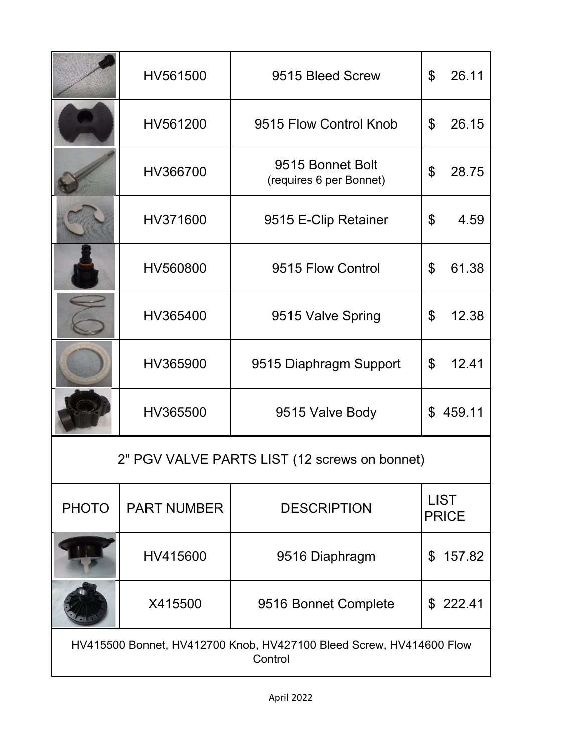|                                                                                | HV561500           | 9515 Bleed Screw                            | 26.11<br>\$                 |  |
|--------------------------------------------------------------------------------|--------------------|---------------------------------------------|-----------------------------|--|
|                                                                                | HV561200           | 9515 Flow Control Knob                      | 26.15<br>\$                 |  |
|                                                                                | HV366700           | 9515 Bonnet Bolt<br>(requires 6 per Bonnet) | \$<br>28.75                 |  |
|                                                                                | HV371600           | 9515 E-Clip Retainer                        | \$<br>4.59                  |  |
|                                                                                | HV560800           | 9515 Flow Control                           | \$<br>61.38                 |  |
|                                                                                | HV365400           | 9515 Valve Spring                           | \$<br>12.38                 |  |
|                                                                                | HV365900           | 9515 Diaphragm Support                      | \$<br>12.41                 |  |
|                                                                                | HV365500           | 9515 Valve Body                             | \$459.11                    |  |
| 2" PGV VALVE PARTS LIST (12 screws on bonnet)                                  |                    |                                             |                             |  |
| <b>PHOTO</b>                                                                   | <b>PART NUMBER</b> | <b>DESCRIPTION</b>                          | <b>LIST</b><br><b>PRICE</b> |  |
|                                                                                | HV415600           | 9516 Diaphragm                              | \$157.82                    |  |
|                                                                                | X415500            | 9516 Bonnet Complete                        | \$222.41                    |  |
| HV415500 Bonnet, HV412700 Knob, HV427100 Bleed Screw, HV414600 Flow<br>Control |                    |                                             |                             |  |